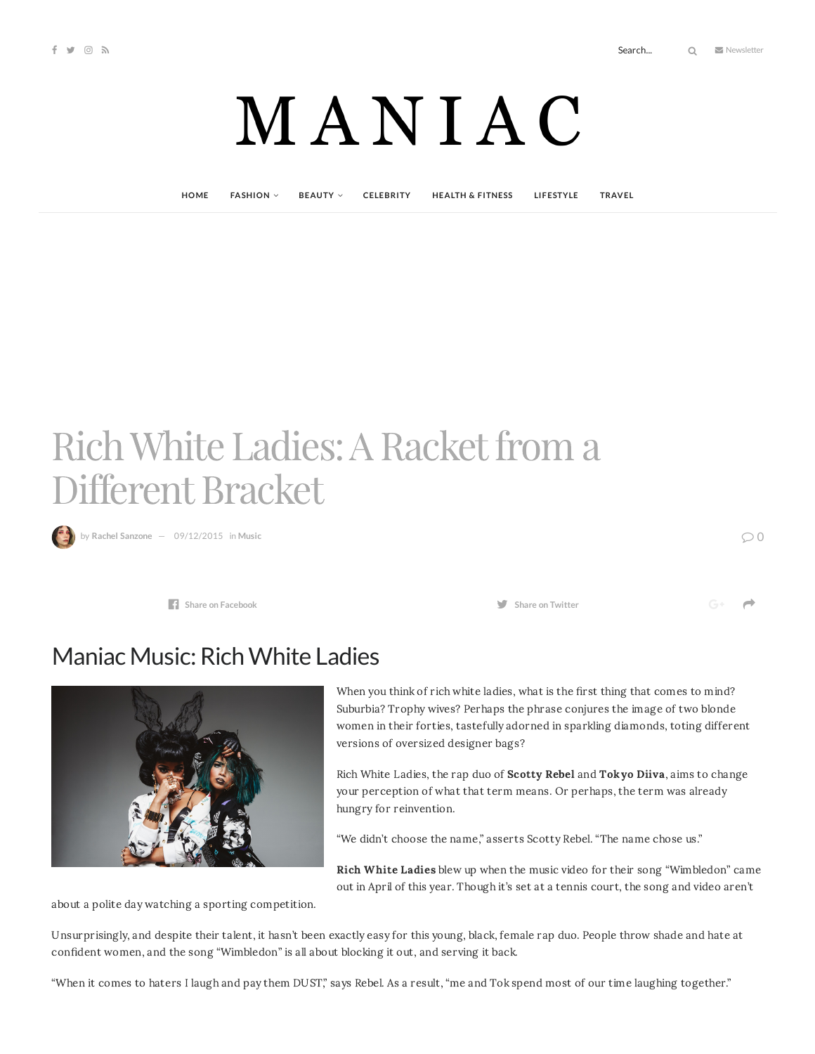## MANIAC

**[HOME](http://maniacmagazine.com/) [FASHION](http://maniacmagazine.com/fashion/) [BEAUTY](http://maniacmagazine.com/beauty/) [CELEBRITY](http://maniacmagazine.com/celebrity/) HEALTH & [FITNESS](http://maniacmagazine.com/beauty/health-and-fitness/) [LIFESTYLE](http://maniacmagazine.com/lifestyle/) [TRAVEL](http://maniacmagazine.com/life/travel/)**

## Rich White Ladies: A Racket from a Different Bracket

by **Rachel [Sanzone](http://maniacmagazine.com/author/rachel/)** — [09/12/2015](http://maniacmagazine.com/culture/music/rich-white-ladies-a-racket-from-a-different-bracket/) in **[Music](http://maniacmagazine.com/culture/music/)** 0

**Share** on **[Facebook](http://www.facebook.com/sharer.php?u=http%3A%2F%2Fmaniacmagazine.com%2Fculture%2Fmusic%2Frich-white-ladies-a-racket-from-a-different-bracket%2F)** *Share* **on Facebook** *Share Share* **<b>on Share on Share on Share** *Share Share Share Share Share Share Share Share Share Share Share Shar* 

 $\rightarrow$ 

Maniac Music: Rich White Ladies

When you think of rich white ladies, what is the first thing that comes to mind? Suburbia? Trophy wives? Perhaps the phrase conjures the image of two blonde women in their forties, tastefully adorned in sparkling diamonds, toting different versions of oversized designer bags?

Rich White Ladies, the rap duo of Scotty Rebel and Tokyo Diiva, aims to change your perception of what that term means. Or perhaps, the term was already hungry for reinvention.

"We didn't choose the name," asserts Scotty Rebel. "The name chose us."

Rich White Ladies blew up when the music video for their song "Wimbledon" came out in April of this year. Though it's set at a tennis court, the song and video aren't

about a polite day watching a sporting competition.

Unsurprisingly, and despite their talent, it hasn't been exactly easy for this young, black, female rap duo. People throw shade and hate at confident women, and the song "Wimbledon" is all about blocking it out, and serving it back.

"When it comes to haters I laugh and pay them DUST," says Rebel. As a result, "me and Tok spend most of our time laughing together."

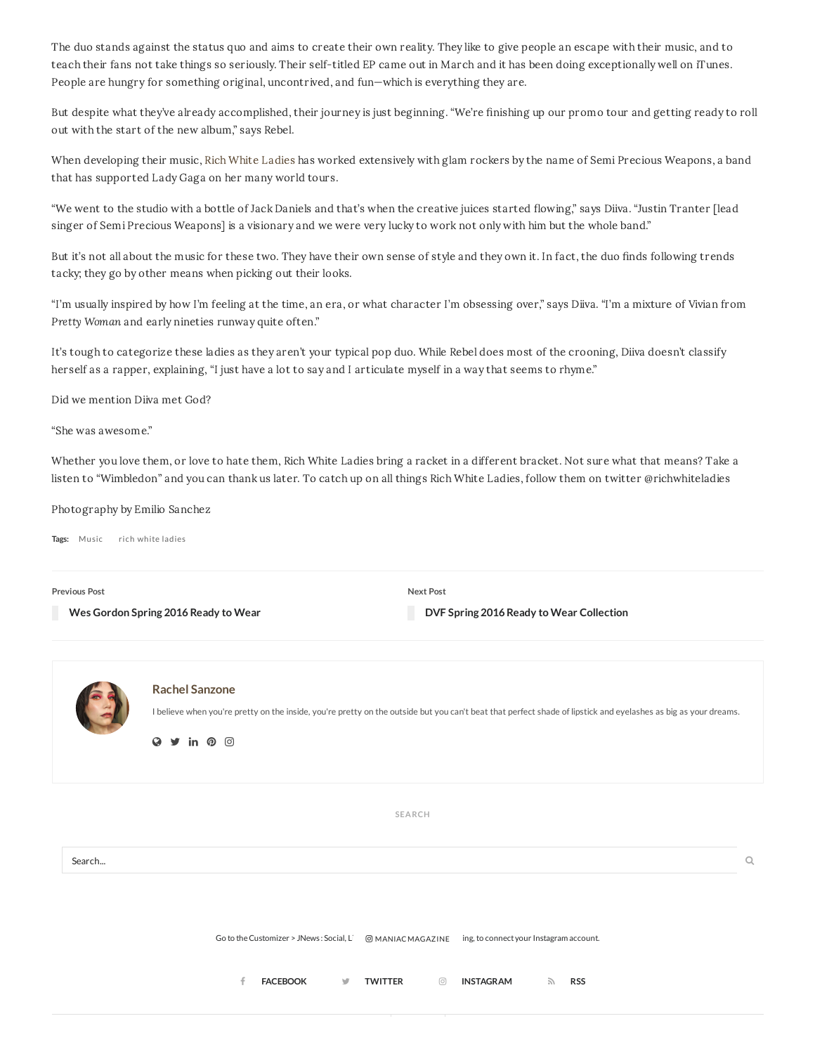The duo stands against the status quo and aims to create their own reality. They like to give people an escape with their music, and to teach their fans not take things so seriously. Their self-titled EP came out in March and it has been doing exceptionally well on iTunes. People are hungry for something original, uncontrived, and fun—which is everything they are.

But despite what they've already accomplished, their journey is just beginning. "We're finishing up our promo tour and getting ready to roll out with the start of the new album," says Rebel.

When developing their music, Rich White [Ladies](https://www.youtube.com/user/RICHWHITELADIES) has worked extensively with glam rockers by the name of Semi Precious Weapons, a band that has supported Lady Gaga on her many world tours.

"We went to the studio with a bottle of Jack Daniels and that's when the creative juices started flowing," says Diiva. "Justin Tranter [lead singer of Semi Precious Weapons] is a visionary and we were very lucky to work not only with him but the whole band."

But it's not all about the music for these two. They have their own sense of style and they own it. In fact, the duo finds following trends tacky; they go by other means when picking out their looks.

"I'm usually inspired by how I'm feeling at the time, an era, or what character I'm obsessing over," says Diiva. "I'm a mixture of Vivian from Pretty Woman and early nineties runway quite often."

It's tough to categorize these ladies as they aren't your typical pop duo. While Rebel does most of the crooning, Diiva doesn't classify herself as a rapper, explaining, "I just have a lot to say and I articulate myself in a way that seems to rhyme."

Did we mention Diiva met God?

"She was awesome."

Whether you love them, or love to hate them, Rich White Ladies bring a racket in a different bracket. Not sure what that means? Take a listen to "Wimbledon" and you can thank us later. To catch up on all things Rich White Ladies, follow them on twitter @richwhiteladies

Photography by Emilio Sanchez

**Tags:** [Music](http://maniacmagazine.com/tag/music/) rich white [ladies](http://maniacmagazine.com/tag/rich-white-ladies/)

**Previous Post**

**Wes [Gordon](http://maniacmagazine.com/fashion/wes-gordon-spring-2016-ready-to-wear/) Spring 2016 Ready to Wear**

**Next Post**

**DVF Spring 2016 Ready to Wear [Collection](http://maniacmagazine.com/fashion/dvf-spring-2016-ready-to-wear-collection/)**

|        | <b>Rachel Sanzone</b><br>I believe when you're pretty on the inside, you're pretty on the outside but you can't beat that perfect shade of lipstick and eyelashes as big as your dreams.<br>$\triangleright$ in $\odot$ $\odot$<br>$\bullet$ |         |
|--------|----------------------------------------------------------------------------------------------------------------------------------------------------------------------------------------------------------------------------------------------|---------|
|        | SEARCH                                                                                                                                                                                                                                       |         |
| Search |                                                                                                                                                                                                                                              | $\circ$ |
|        | Go to the Customizer > JNews: Social, Li @ MANIACMAGAZINE ing, to connect your Instagram account.<br><b>FACEBOOK</b><br><b>TWITTER</b><br><b>INSTAGRAM</b><br>$\circledcirc$<br>$\mathbb{Z}$<br><b>RSS</b><br>v                              |         |